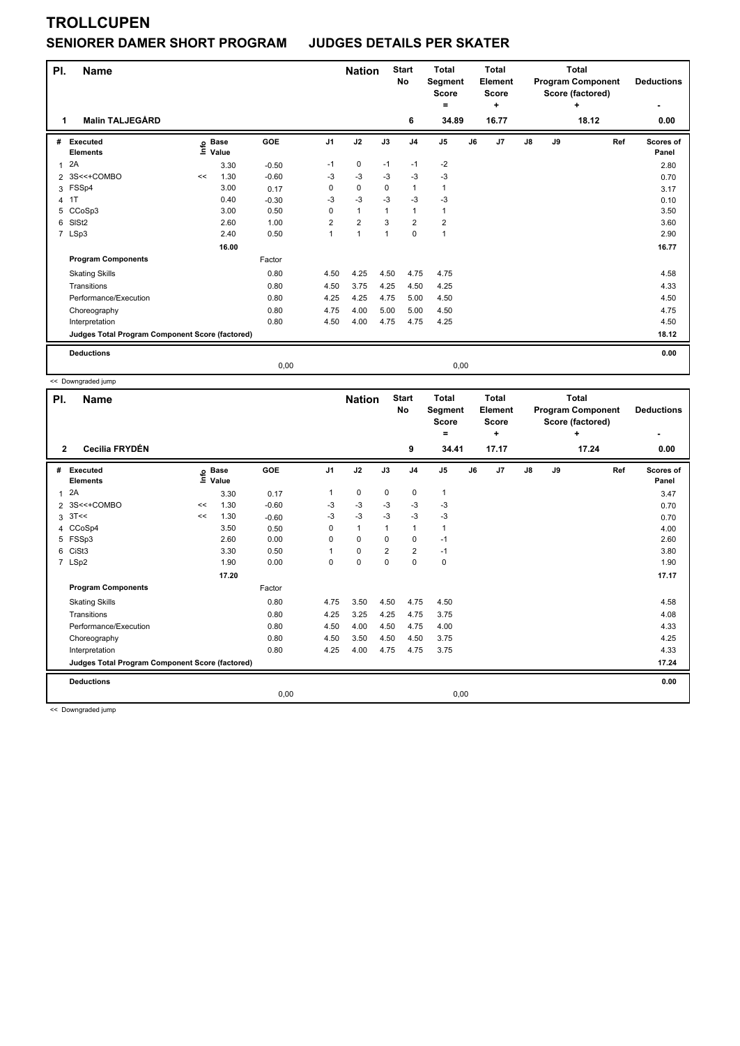### **SENIORER DAMER SHORT PROGRAM JUDGES DETAILS PER SKATER**

| PI.<br>1     | <b>Name</b><br><b>Malin TALJEGÅRD</b>           |    |                            |         |                | <b>Nation</b>        |          | <b>Start</b><br>No<br>6 | <b>Total</b><br><b>Total</b><br><b>Total</b><br><b>Program Component</b><br>Segment<br>Element<br>Score (factored)<br><b>Score</b><br><b>Score</b><br>÷<br>۰<br>4<br>18.12<br>34.89<br>16.77 |    |                |            |    |     | <b>Deductions</b><br>0.00 |
|--------------|-------------------------------------------------|----|----------------------------|---------|----------------|----------------------|----------|-------------------------|----------------------------------------------------------------------------------------------------------------------------------------------------------------------------------------------|----|----------------|------------|----|-----|---------------------------|
|              |                                                 |    |                            |         |                |                      |          |                         |                                                                                                                                                                                              |    |                |            |    |     |                           |
|              | # Executed<br><b>Elements</b>                   |    | e Base<br>E Value<br>Value | GOE     | J <sub>1</sub> | J2                   | J3       | J <sub>4</sub>          | J <sub>5</sub>                                                                                                                                                                               | J6 | J <sub>7</sub> | ${\sf J8}$ | J9 | Ref | <b>Scores of</b><br>Panel |
| $\mathbf{1}$ | 2A                                              |    | 3.30                       | $-0.50$ | $-1$           | 0                    | $-1$     | $-1$                    | $-2$                                                                                                                                                                                         |    |                |            |    |     | 2.80                      |
|              | 2 3S<<+COMBO                                    | << | 1.30                       | $-0.60$ | $-3$           | $-3$                 | $-3$     | $-3$                    | $-3$                                                                                                                                                                                         |    |                |            |    |     | 0.70                      |
|              | 3 FSSp4                                         |    | 3.00                       | 0.17    | $\Omega$       | $\mathbf 0$          | $\Omega$ | $\mathbf{1}$            | 1                                                                                                                                                                                            |    |                |            |    |     | 3.17                      |
|              | 4 1T                                            |    | 0.40                       | $-0.30$ | $-3$           | $-3$                 | $-3$     | $-3$                    | $-3$                                                                                                                                                                                         |    |                |            |    |     | 0.10                      |
| 5            | CCoSp3                                          |    | 3.00                       | 0.50    | 0              | $\mathbf{1}$         |          | 1                       | 1                                                                                                                                                                                            |    |                |            |    |     | 3.50                      |
| 6            | SISt <sub>2</sub>                               |    | 2.60                       | 1.00    | $\overline{2}$ | $\overline{2}$       | 3        | $\overline{\mathbf{c}}$ | $\overline{\mathbf{c}}$                                                                                                                                                                      |    |                |            |    |     | 3.60                      |
|              | 7 LSp3                                          |    | 2.40                       | 0.50    | 1              | $\blacktriangleleft$ | 1        | $\mathbf 0$             | 1                                                                                                                                                                                            |    |                |            |    |     | 2.90                      |
|              |                                                 |    | 16.00                      |         |                |                      |          |                         |                                                                                                                                                                                              |    |                |            |    |     | 16.77                     |
|              | <b>Program Components</b>                       |    |                            | Factor  |                |                      |          |                         |                                                                                                                                                                                              |    |                |            |    |     |                           |
|              | <b>Skating Skills</b>                           |    |                            | 0.80    | 4.50           | 4.25                 | 4.50     | 4.75                    | 4.75                                                                                                                                                                                         |    |                |            |    |     | 4.58                      |
|              | Transitions                                     |    |                            | 0.80    | 4.50           | 3.75                 | 4.25     | 4.50                    | 4.25                                                                                                                                                                                         |    |                |            |    |     | 4.33                      |
|              | Performance/Execution                           |    |                            | 0.80    | 4.25           | 4.25                 | 4.75     | 5.00                    | 4.50                                                                                                                                                                                         |    |                |            |    |     | 4.50                      |
|              | Choreography                                    |    |                            | 0.80    | 4.75           | 4.00                 | 5.00     | 5.00                    | 4.50                                                                                                                                                                                         |    |                |            |    |     | 4.75                      |
|              | Interpretation                                  |    |                            | 0.80    | 4.50           | 4.00                 | 4.75     | 4.75                    | 4.25                                                                                                                                                                                         |    |                |            |    |     | 4.50                      |
|              | Judges Total Program Component Score (factored) |    |                            |         |                |                      |          |                         |                                                                                                                                                                                              |    |                |            |    |     | 18.12                     |
|              | <b>Deductions</b>                               |    |                            |         |                |                      |          |                         |                                                                                                                                                                                              |    |                |            |    |     | 0.00                      |
|              |                                                 |    |                            | 0,00    |                |                      |          |                         | 0,00                                                                                                                                                                                         |    |                |            |    |     |                           |

<< Downgraded jump

| PI.            | <b>Name</b>                                     |      |                      |         |                | <b>Nation</b> |                | <b>Start</b><br>No | <b>Total</b><br>Segment<br><b>Score</b><br>۰ |    | Total<br><b>Element</b><br><b>Score</b><br>٠ |            | <b>Total</b><br><b>Program Component</b><br>Score (factored) | <b>Deductions</b><br>٠ |                    |
|----------------|-------------------------------------------------|------|----------------------|---------|----------------|---------------|----------------|--------------------|----------------------------------------------|----|----------------------------------------------|------------|--------------------------------------------------------------|------------------------|--------------------|
| $\mathbf{2}$   | Cecilia FRYDÉN                                  |      |                      |         |                |               |                | 9                  | 34.41                                        |    | 17.17                                        |            |                                                              | ÷<br>17.24             | 0.00               |
| #              | Executed<br><b>Elements</b>                     | ١nfo | <b>Base</b><br>Value | GOE     | J <sub>1</sub> | J2            | J3             | J <sub>4</sub>     | J <sub>5</sub>                               | J6 | J7                                           | ${\sf J8}$ | J9                                                           | Ref                    | Scores of<br>Panel |
| $\overline{1}$ | 2A                                              |      | 3.30                 | 0.17    | 1              | 0             | 0              | $\mathbf 0$        | $\mathbf{1}$                                 |    |                                              |            |                                                              |                        | 3.47               |
|                | 2 3S<<+COMBO                                    | <<   | 1.30                 | $-0.60$ | -3             | $-3$          | -3             | -3                 | $-3$                                         |    |                                              |            |                                                              |                        | 0.70               |
| 3              | 3T<<                                            | <<   | 1.30                 | $-0.60$ | $-3$           | $-3$          | $-3$           | $-3$               | $-3$                                         |    |                                              |            |                                                              |                        | 0.70               |
|                | 4 CCoSp4                                        |      | 3.50                 | 0.50    | 0              | $\mathbf{1}$  | $\mathbf{1}$   | $\mathbf{1}$       | $\mathbf{1}$                                 |    |                                              |            |                                                              |                        | 4.00               |
| 5              | FSSp3                                           |      | 2.60                 | 0.00    | $\Omega$       | $\mathbf 0$   | $\Omega$       | $\mathbf 0$        | $-1$                                         |    |                                              |            |                                                              |                        | 2.60               |
| 6              | CiSt <sub>3</sub>                               |      | 3.30                 | 0.50    | 1              | $\mathbf 0$   | $\overline{2}$ | $\overline{2}$     | $-1$                                         |    |                                              |            |                                                              |                        | 3.80               |
|                | 7 LSp2                                          |      | 1.90                 | 0.00    | 0              | $\mathbf 0$   | 0              | $\mathbf 0$        | $\pmb{0}$                                    |    |                                              |            |                                                              |                        | 1.90               |
|                |                                                 |      | 17.20                |         |                |               |                |                    |                                              |    |                                              |            |                                                              |                        | 17.17              |
|                | <b>Program Components</b>                       |      |                      | Factor  |                |               |                |                    |                                              |    |                                              |            |                                                              |                        |                    |
|                | <b>Skating Skills</b>                           |      |                      | 0.80    | 4.75           | 3.50          | 4.50           | 4.75               | 4.50                                         |    |                                              |            |                                                              |                        | 4.58               |
|                | Transitions                                     |      |                      | 0.80    | 4.25           | 3.25          | 4.25           | 4.75               | 3.75                                         |    |                                              |            |                                                              |                        | 4.08               |
|                | Performance/Execution                           |      |                      | 0.80    | 4.50           | 4.00          | 4.50           | 4.75               | 4.00                                         |    |                                              |            |                                                              |                        | 4.33               |
|                | Choreography                                    |      |                      | 0.80    | 4.50           | 3.50          | 4.50           | 4.50               | 3.75                                         |    |                                              |            |                                                              |                        | 4.25               |
|                | Interpretation                                  |      |                      | 0.80    | 4.25           | 4.00          | 4.75           | 4.75               | 3.75                                         |    |                                              |            |                                                              |                        | 4.33               |
|                | Judges Total Program Component Score (factored) |      |                      |         |                |               |                |                    |                                              |    |                                              |            |                                                              |                        | 17.24              |
|                | <b>Deductions</b>                               |      |                      |         |                |               |                |                    |                                              |    |                                              |            |                                                              |                        | 0.00               |
|                |                                                 |      |                      | 0,00    |                |               |                |                    | 0,00                                         |    |                                              |            |                                                              |                        |                    |

<< Downgraded jump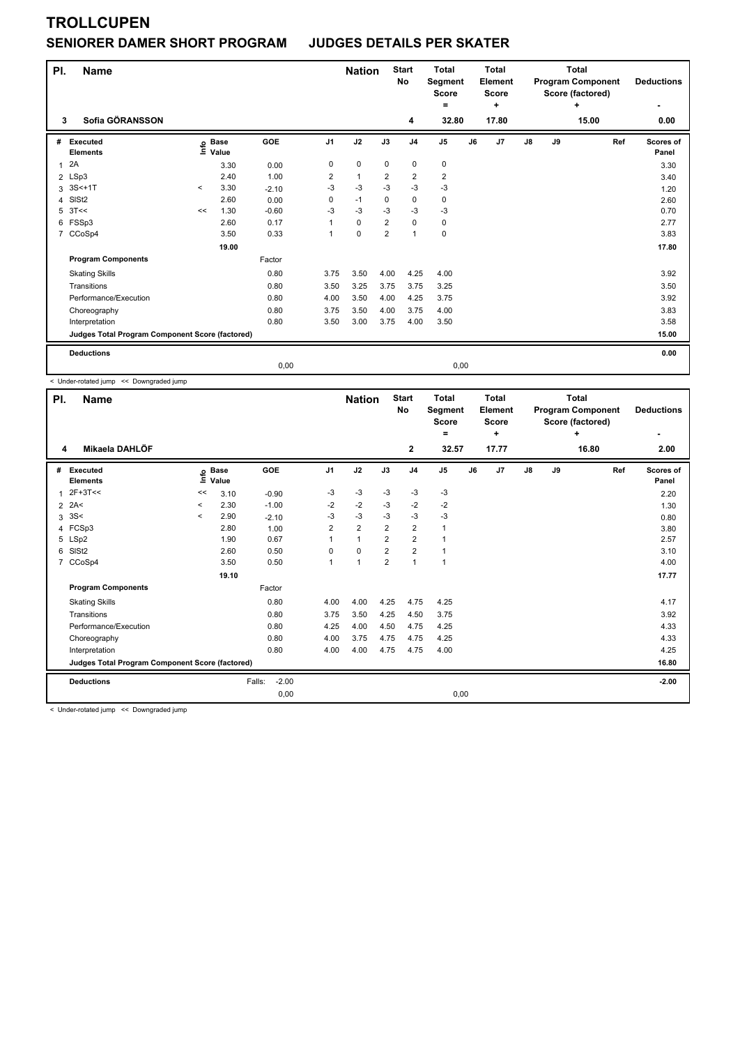#### **SENIORER DAMER SHORT PROGRAM JUDGES DETAILS PER SKATER**

| PI. | <b>Name</b>                                     |       |                            |         |                | <b>Nation</b> |                | <b>Start</b><br><b>No</b> | <b>Total</b><br>Segment<br><b>Score</b><br>= |      | <b>Total</b><br><b>Element</b><br><b>Score</b><br>÷ |            | <b>Total</b><br><b>Program Component</b><br>Score (factored) | <b>Deductions</b> |                    |
|-----|-------------------------------------------------|-------|----------------------------|---------|----------------|---------------|----------------|---------------------------|----------------------------------------------|------|-----------------------------------------------------|------------|--------------------------------------------------------------|-------------------|--------------------|
| 3   | Sofia GÖRANSSON                                 |       |                            |         |                |               |                | 4                         | 32.80                                        |      | 17.80                                               |            |                                                              | 15.00             | 0.00               |
| #   | Executed<br><b>Elements</b>                     |       | e Base<br>⊑ Value<br>Value | GOE     | J <sub>1</sub> | J2            | J3             | J <sub>4</sub>            | J5                                           | J6   | J7                                                  | ${\sf J8}$ | J9                                                           | Ref               | Scores of<br>Panel |
| 1   | 2A                                              |       | 3.30                       | 0.00    | $\mathbf 0$    | $\mathbf 0$   | $\mathbf 0$    | 0                         | $\pmb{0}$                                    |      |                                                     |            |                                                              |                   | 3.30               |
|     | 2 LSp3                                          |       | 2.40                       | 1.00    | 2              | $\mathbf{1}$  | $\overline{2}$ | $\overline{\mathbf{c}}$   | $\overline{\mathbf{c}}$                      |      |                                                     |            |                                                              |                   | 3.40               |
| 3   | $3S<+1T$                                        | $\,<$ | 3.30                       | $-2.10$ | $-3$           | $-3$          | $-3$           | $-3$                      | $-3$                                         |      |                                                     |            |                                                              |                   | 1.20               |
| 4   | SISt <sub>2</sub>                               |       | 2.60                       | 0.00    | 0              | $-1$          | 0              | $\mathbf 0$               | 0                                            |      |                                                     |            |                                                              |                   | 2.60               |
| 5   | 3T<<                                            | <<    | 1.30                       | $-0.60$ | $-3$           | $-3$          | $-3$           | $-3$                      | $-3$                                         |      |                                                     |            |                                                              |                   | 0.70               |
|     | 6 FSSp3                                         |       | 2.60                       | 0.17    |                | $\mathbf 0$   | $\overline{2}$ | $\mathbf 0$               | 0                                            |      |                                                     |            |                                                              |                   | 2.77               |
|     | 7 CCoSp4                                        |       | 3.50                       | 0.33    |                | $\mathbf 0$   | $\overline{2}$ | $\mathbf{1}$              | $\pmb{0}$                                    |      |                                                     |            |                                                              |                   | 3.83               |
|     |                                                 |       | 19.00                      |         |                |               |                |                           |                                              |      |                                                     |            |                                                              |                   | 17.80              |
|     | <b>Program Components</b>                       |       |                            | Factor  |                |               |                |                           |                                              |      |                                                     |            |                                                              |                   |                    |
|     | <b>Skating Skills</b>                           |       |                            | 0.80    | 3.75           | 3.50          | 4.00           | 4.25                      | 4.00                                         |      |                                                     |            |                                                              |                   | 3.92               |
|     | Transitions                                     |       |                            | 0.80    | 3.50           | 3.25          | 3.75           | 3.75                      | 3.25                                         |      |                                                     |            |                                                              |                   | 3.50               |
|     | Performance/Execution                           |       |                            | 0.80    | 4.00           | 3.50          | 4.00           | 4.25                      | 3.75                                         |      |                                                     |            |                                                              |                   | 3.92               |
|     | Choreography                                    |       |                            | 0.80    | 3.75           | 3.50          | 4.00           | 3.75                      | 4.00                                         |      |                                                     |            |                                                              |                   | 3.83               |
|     | Interpretation                                  |       |                            | 0.80    | 3.50           | 3.00          | 3.75           | 4.00                      | 3.50                                         |      |                                                     |            |                                                              |                   | 3.58               |
|     | Judges Total Program Component Score (factored) |       |                            |         |                |               |                |                           |                                              |      |                                                     |            |                                                              |                   | 15.00              |
|     | <b>Deductions</b>                               |       |                            |         |                |               |                |                           |                                              |      |                                                     |            |                                                              |                   | 0.00               |
|     |                                                 |       |                            | 0,00    |                |               |                |                           |                                              | 0,00 |                                                     |            |                                                              |                   |                    |

< Under-rotated jump << Downgraded jump

| PI.            | <b>Name</b>                                     |         |                      |                   |                | <b>Nation</b>  |                | <b>Start</b><br>No | <b>Total</b><br>Segment<br><b>Score</b> |    | Total<br><b>Element</b><br><b>Score</b> |               | <b>Total</b><br><b>Program Component</b><br>Score (factored) | <b>Deductions</b> |                           |
|----------------|-------------------------------------------------|---------|----------------------|-------------------|----------------|----------------|----------------|--------------------|-----------------------------------------|----|-----------------------------------------|---------------|--------------------------------------------------------------|-------------------|---------------------------|
| 4              | Mikaela DAHLÖF                                  |         |                      |                   |                |                |                | $\mathbf{2}$       | =<br>32.57                              |    | ٠<br>17.77                              |               |                                                              | ٠<br>16.80        | ٠<br>2.00                 |
| #              | Executed<br><b>Elements</b>                     | ١nf٥    | <b>Base</b><br>Value | GOE               | J <sub>1</sub> | J2             | J3             | J <sub>4</sub>     | J <sub>5</sub>                          | J6 | J <sub>7</sub>                          | $\mathsf{J}8$ | J9                                                           | Ref               | <b>Scores of</b><br>Panel |
| 1              | $2F+3T<<$                                       | <<      | 3.10                 | $-0.90$           | -3             | $-3$           | -3             | $-3$               | $-3$                                    |    |                                         |               |                                                              |                   | 2.20                      |
| $\overline{2}$ | 2A<                                             | $\prec$ | 2.30                 | $-1.00$           | $-2$           | $-2$           | -3             | $-2$               | $-2$                                    |    |                                         |               |                                                              |                   | 1.30                      |
| 3              | 3S<                                             | $\prec$ | 2.90                 | $-2.10$           | -3             | $-3$           | -3             | $-3$               | $-3$                                    |    |                                         |               |                                                              |                   | 0.80                      |
|                | 4 FCSp3                                         |         | 2.80                 | 1.00              | $\overline{2}$ | $\overline{2}$ | $\overline{2}$ | $\overline{2}$     | $\mathbf{1}$                            |    |                                         |               |                                                              |                   | 3.80                      |
|                | 5 LSp2                                          |         | 1.90                 | 0.67              | 1              | $\mathbf{1}$   | $\overline{2}$ | 2                  | 1                                       |    |                                         |               |                                                              |                   | 2.57                      |
| 6              | SISt <sub>2</sub>                               |         | 2.60                 | 0.50              | $\Omega$       | $\mathbf 0$    | $\overline{2}$ | $\overline{2}$     | 1                                       |    |                                         |               |                                                              |                   | 3.10                      |
| 7              | CCoSp4                                          |         | 3.50                 | 0.50              | $\overline{1}$ | 1              | $\overline{2}$ | $\mathbf{1}$       | $\overline{1}$                          |    |                                         |               |                                                              |                   | 4.00                      |
|                |                                                 |         | 19.10                |                   |                |                |                |                    |                                         |    |                                         |               |                                                              |                   | 17.77                     |
|                | <b>Program Components</b>                       |         |                      | Factor            |                |                |                |                    |                                         |    |                                         |               |                                                              |                   |                           |
|                | <b>Skating Skills</b>                           |         |                      | 0.80              | 4.00           | 4.00           | 4.25           | 4.75               | 4.25                                    |    |                                         |               |                                                              |                   | 4.17                      |
|                | Transitions                                     |         |                      | 0.80              | 3.75           | 3.50           | 4.25           | 4.50               | 3.75                                    |    |                                         |               |                                                              |                   | 3.92                      |
|                | Performance/Execution                           |         |                      | 0.80              | 4.25           | 4.00           | 4.50           | 4.75               | 4.25                                    |    |                                         |               |                                                              |                   | 4.33                      |
|                | Choreography                                    |         |                      | 0.80              | 4.00           | 3.75           | 4.75           | 4.75               | 4.25                                    |    |                                         |               |                                                              |                   | 4.33                      |
|                | Interpretation                                  |         |                      | 0.80              | 4.00           | 4.00           | 4.75           | 4.75               | 4.00                                    |    |                                         |               |                                                              |                   | 4.25                      |
|                | Judges Total Program Component Score (factored) |         |                      |                   |                |                |                |                    |                                         |    |                                         |               |                                                              |                   | 16.80                     |
|                | <b>Deductions</b>                               |         |                      | $-2.00$<br>Falls: |                |                |                |                    |                                         |    |                                         |               |                                                              |                   | $-2.00$                   |
|                |                                                 |         |                      | 0,00              |                |                |                |                    | 0,00                                    |    |                                         |               |                                                              |                   |                           |

< Under-rotated jump << Downgraded jump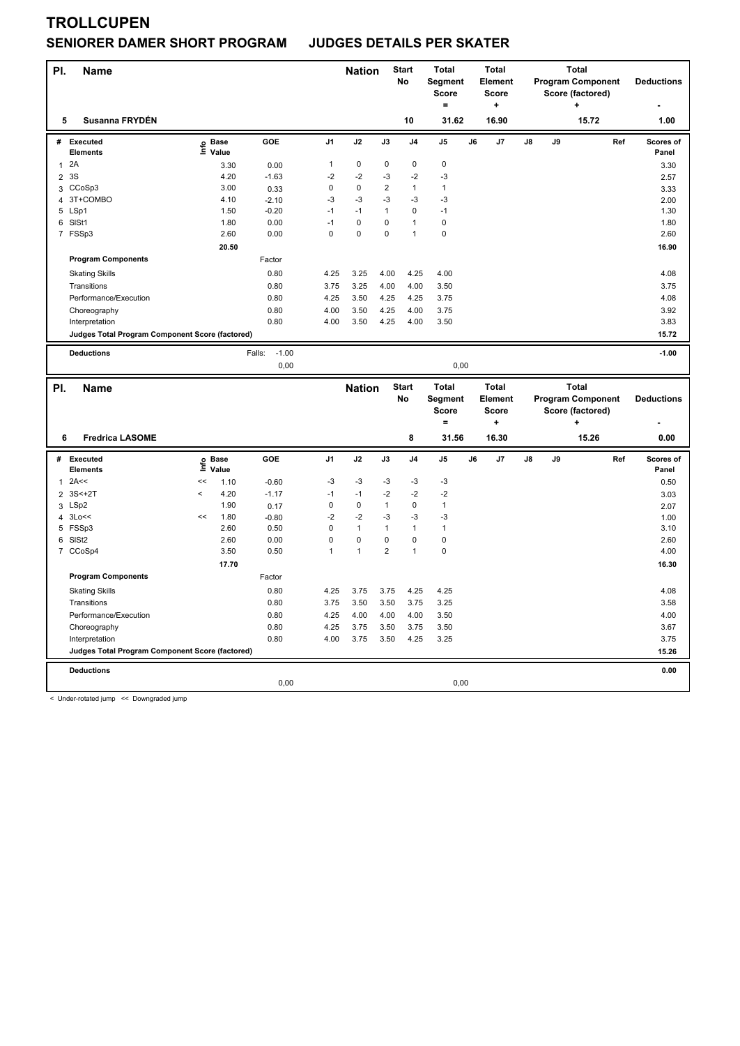## **SENIORER DAMER SHORT PROGRAM JUDGES DETAILS PER SKATER**

| PI.            | <b>Name</b>                                            |            |                   |                   |                | <b>Nation</b> |                         | <b>Start</b><br>No | <b>Total</b><br>Segment |    | <b>Total</b><br><b>Element</b> |    |    | <b>Total</b><br><b>Program Component</b> |     | <b>Deductions</b>  |
|----------------|--------------------------------------------------------|------------|-------------------|-------------------|----------------|---------------|-------------------------|--------------------|-------------------------|----|--------------------------------|----|----|------------------------------------------|-----|--------------------|
|                |                                                        |            |                   |                   |                |               |                         |                    | <b>Score</b>            |    | <b>Score</b>                   |    |    | Score (factored)                         |     |                    |
|                |                                                        |            |                   |                   |                |               |                         |                    | $=$                     |    | ÷                              |    |    | +                                        |     |                    |
| 5              | Susanna FRYDÉN                                         |            |                   |                   |                |               |                         | 10                 | 31.62                   |    | 16.90                          |    |    | 15.72                                    |     | 1.00               |
| #              | Executed<br><b>Elements</b>                            |            | e Base<br>⊆ Value | GOE               | J <sub>1</sub> | J2            | J3                      | J <sub>4</sub>     | $\mathsf{J}5$           | J6 | J7                             | J8 | J9 |                                          | Ref | Scores of<br>Panel |
| 1              | 2A                                                     |            | 3.30              | 0.00              | $\mathbf{1}$   | 0             | 0                       | 0                  | $\mathbf 0$             |    |                                |    |    |                                          |     | 3.30               |
| $\overline{2}$ | 3S                                                     |            | 4.20              | $-1.63$           | $-2$           | $-2$          | -3                      | $-2$               | $-3$                    |    |                                |    |    |                                          |     | 2.57               |
|                | 3 CCoSp3                                               |            | 3.00              | 0.33              | 0              | $\Omega$      | 2                       | $\mathbf{1}$       | $\mathbf{1}$            |    |                                |    |    |                                          |     | 3.33               |
| $\overline{4}$ | 3T+COMBO                                               |            | 4.10              | $-2.10$           | $-3$           | $-3$          | -3                      | $-3$               | $-3$                    |    |                                |    |    |                                          |     | 2.00               |
|                | 5 LSp1                                                 |            | 1.50              | $-0.20$           | $-1$           | $-1$          | $\mathbf{1}$            | 0                  | $-1$                    |    |                                |    |    |                                          |     | 1.30               |
|                | 6 SISt1                                                |            | 1.80              | 0.00              | $-1$           | $\mathbf 0$   | 0                       | $\mathbf{1}$       | $\pmb{0}$               |    |                                |    |    |                                          |     | 1.80               |
|                | 7 FSSp3                                                |            | 2.60              | 0.00              | $\mathbf 0$    | $\mathbf 0$   | 0                       | 1                  | $\mathbf 0$             |    |                                |    |    |                                          |     | 2.60               |
|                |                                                        |            | 20.50             |                   |                |               |                         |                    |                         |    |                                |    |    |                                          |     | 16.90              |
|                | <b>Program Components</b>                              |            |                   | Factor            |                |               |                         |                    |                         |    |                                |    |    |                                          |     |                    |
|                | <b>Skating Skills</b>                                  |            |                   | 0.80              | 4.25           | 3.25          | 4.00                    | 4.25               | 4.00                    |    |                                |    |    |                                          |     | 4.08               |
|                | Transitions                                            |            |                   | 0.80              | 3.75           | 3.25          | 4.00                    | 4.00               | 3.50                    |    |                                |    |    |                                          |     | 3.75               |
|                | Performance/Execution                                  |            |                   | 0.80              | 4.25           | 3.50          | 4.25                    | 4.25               | 3.75                    |    |                                |    |    |                                          |     | 4.08               |
|                | Choreography                                           |            |                   | 0.80              | 4.00           | 3.50          | 4.25                    | 4.00               | 3.75                    |    |                                |    |    |                                          |     | 3.92               |
|                | Interpretation                                         |            |                   | 0.80              | 4.00           | 3.50          | 4.25                    | 4.00               | 3.50                    |    |                                |    |    |                                          |     | 3.83               |
|                | <b>Judges Total Program Component Score (factored)</b> |            |                   |                   |                |               |                         |                    |                         |    |                                |    |    |                                          |     | 15.72              |
|                |                                                        |            |                   |                   |                |               |                         |                    |                         |    |                                |    |    |                                          |     |                    |
|                | <b>Deductions</b>                                      |            |                   | $-1.00$<br>Falls: |                |               |                         |                    |                         |    |                                |    |    |                                          |     | $-1.00$            |
|                |                                                        |            |                   | 0,00              |                |               |                         |                    | 0,00                    |    |                                |    |    |                                          |     |                    |
|                |                                                        |            |                   |                   |                |               |                         |                    |                         |    |                                |    |    |                                          |     |                    |
|                |                                                        |            |                   |                   |                |               |                         |                    |                         |    |                                |    |    |                                          |     |                    |
| PI.            | <b>Name</b>                                            |            |                   |                   |                | <b>Nation</b> |                         | <b>Start</b>       | <b>Total</b>            |    | <b>Total</b>                   |    |    | <b>Total</b>                             |     |                    |
|                |                                                        |            |                   |                   |                |               |                         | No                 | Segment                 |    | <b>Element</b>                 |    |    | <b>Program Component</b>                 |     | <b>Deductions</b>  |
|                |                                                        |            |                   |                   |                |               |                         |                    | <b>Score</b><br>$=$     |    | Score<br>٠                     |    |    | Score (factored)<br>÷                    |     |                    |
| 6              | <b>Fredrica LASOME</b>                                 |            |                   |                   |                |               |                         | 8                  | 31.56                   |    | 16.30                          |    |    | 15.26                                    |     | 0.00               |
|                |                                                        |            |                   |                   |                |               |                         |                    |                         |    |                                |    |    |                                          |     |                    |
| #              | Executed                                               |            |                   | GOE               | J <sub>1</sub> | J2            | J3                      | J <sub>4</sub>     | J <sub>5</sub>          | J6 | J7                             | J8 | J9 |                                          | Ref | Scores of          |
|                | <b>Elements</b>                                        |            | e Base<br>⊆ Value |                   |                |               |                         |                    |                         |    |                                |    |    |                                          |     | Panel              |
| 1              | 2A<<                                                   | <<         | 1.10              | $-0.60$           | $-3$           | $-3$          | $-3$                    | $-3$               | -3                      |    |                                |    |    |                                          |     | 0.50               |
|                | 2 3S<+2T                                               | $\epsilon$ | 4.20              | $-1.17$           | $-1$           | $-1$          | $-2$                    | $-2$               | $-2$                    |    |                                |    |    |                                          |     | 3.03               |
| 3              | LSp2                                                   |            | 1.90              | 0.17              | $\mathsf 0$    | $\pmb{0}$     | $\mathbf{1}$            | $\pmb{0}$          | $\mathbf{1}$            |    |                                |    |    |                                          |     | 2.07               |
| 4              | 3Lo<<                                                  | <<         | 1.80              | $-0.80$           | $-2$           | $-2$          | $-3$                    | $-3$               | $-3$                    |    |                                |    |    |                                          |     | 1.00               |
|                | 5 FSSp3                                                |            | 2.60              | 0.50              | $\mathsf 0$    | $\mathbf{1}$  | $\mathbf{1}$            | 1                  | $\mathbf{1}$            |    |                                |    |    |                                          |     | 3.10               |
| 6              | SISt <sub>2</sub>                                      |            | 2.60              | 0.00              | $\mathbf 0$    | $\pmb{0}$     | 0                       | 0                  | $\pmb{0}$               |    |                                |    |    |                                          |     | 2.60               |
|                | 7 CCoSp4                                               |            | 3.50              | 0.50              | $\mathbf{1}$   | $\mathbf{1}$  | $\overline{\mathbf{c}}$ | $\mathbf{1}$       | $\mathbf 0$             |    |                                |    |    |                                          |     | 4.00               |
|                |                                                        |            | 17.70             |                   |                |               |                         |                    |                         |    |                                |    |    |                                          |     | 16.30              |
|                | <b>Program Components</b>                              |            |                   | Factor            |                |               |                         |                    |                         |    |                                |    |    |                                          |     |                    |
|                | <b>Skating Skills</b>                                  |            |                   | 0.80              | 4.25           | 3.75          | 3.75                    | 4.25               | 4.25                    |    |                                |    |    |                                          |     | 4.08               |
|                | Transitions                                            |            |                   | 0.80              | 3.75           | 3.50          | 3.50                    | 3.75               | 3.25                    |    |                                |    |    |                                          |     | 3.58               |
|                | Performance/Execution                                  |            |                   | 0.80              | 4.25           | 4.00          | 4.00                    | 4.00               | 3.50                    |    |                                |    |    |                                          |     | 4.00               |
|                | Choreography                                           |            |                   | 0.80              | 4.25           | 3.75          | 3.50                    | 3.75               | 3.50                    |    |                                |    |    |                                          |     | 3.67               |
|                | Interpretation                                         |            |                   | 0.80              | 4.00           | 3.75          | 3.50                    | 4.25               | 3.25                    |    |                                |    |    |                                          |     | 3.75               |
|                | Judges Total Program Component Score (factored)        |            |                   |                   |                |               |                         |                    |                         |    |                                |    |    |                                          |     | 15.26              |
|                |                                                        |            |                   |                   |                |               |                         |                    |                         |    |                                |    |    |                                          |     |                    |
|                | <b>Deductions</b>                                      |            |                   | 0,00              |                |               |                         |                    | 0,00                    |    |                                |    |    |                                          |     | 0.00               |

< Under-rotated jump << Downgraded jump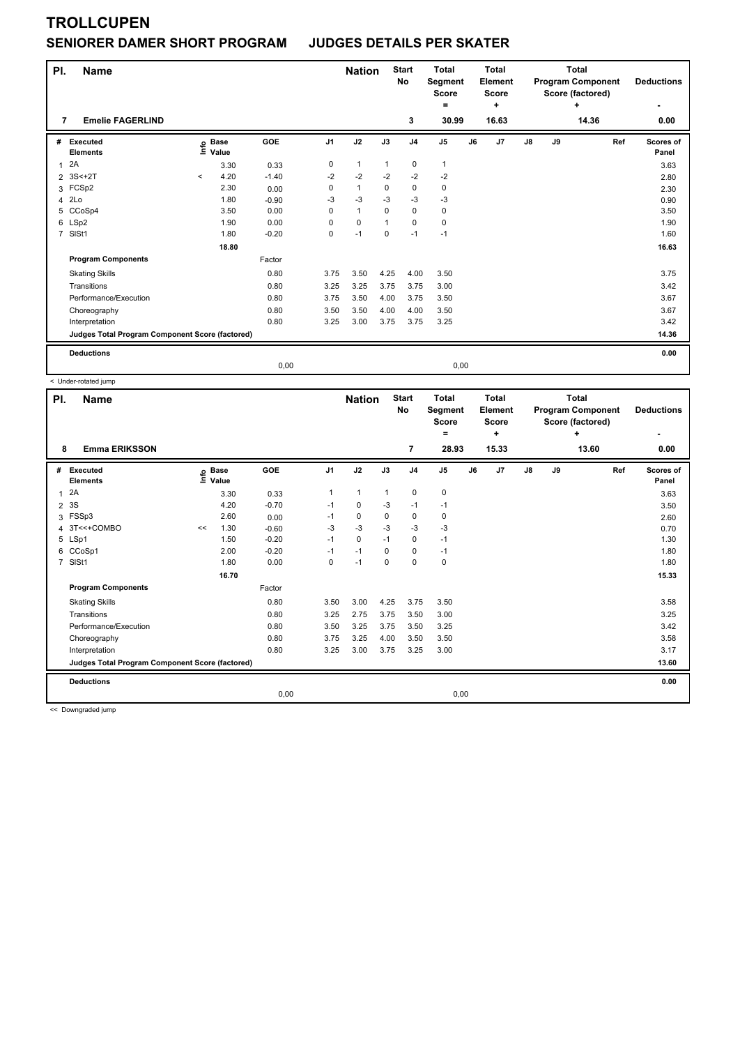### **SENIORER DAMER SHORT PROGRAM JUDGES DETAILS PER SKATER**

| PI.            | <b>Name</b><br><b>Emelie FAGERLIND</b>          |          |                      |         |                | <b>Nation</b> |              | <b>Start</b><br>No | <b>Total</b><br>Segment<br>Score<br>Ξ. |    | <b>Total</b><br><b>Element</b><br><b>Score</b><br>÷ |               | <b>Total</b><br><b>Program Component</b><br>Score (factored) | <b>Deductions</b> |                    |
|----------------|-------------------------------------------------|----------|----------------------|---------|----------------|---------------|--------------|--------------------|----------------------------------------|----|-----------------------------------------------------|---------------|--------------------------------------------------------------|-------------------|--------------------|
| 7              |                                                 |          |                      |         |                |               |              | 3                  | 30.99                                  |    | 16.63                                               |               |                                                              | 14.36             | 0.00               |
| #              | Executed<br><b>Elements</b>                     | lnfo     | <b>Base</b><br>Value | GOE     | J <sub>1</sub> | J2            | J3           | J <sub>4</sub>     | J <sub>5</sub>                         | J6 | J <sub>7</sub>                                      | $\mathsf{J}8$ | J9                                                           | Ref               | Scores of<br>Panel |
| 1              | 2A                                              |          | 3.30                 | 0.33    | 0              | $\mathbf{1}$  | $\mathbf{1}$ | 0                  | 1                                      |    |                                                     |               |                                                              |                   | 3.63               |
| $\overline{2}$ | $3S < +2T$                                      | $\hat{}$ | 4.20                 | $-1.40$ | $-2$           | $-2$          | $-2$         | $-2$               | $-2$                                   |    |                                                     |               |                                                              |                   | 2.80               |
| 3              | FCSp2                                           |          | 2.30                 | 0.00    | 0              | $\mathbf{1}$  | $\mathbf 0$  | $\mathbf 0$        | $\mathbf 0$                            |    |                                                     |               |                                                              |                   | 2.30               |
| 4              | 2Lo                                             |          | 1.80                 | $-0.90$ | $-3$           | $-3$          | $-3$         | $-3$               | $-3$                                   |    |                                                     |               |                                                              |                   | 0.90               |
| 5              | CCoSp4                                          |          | 3.50                 | 0.00    | $\Omega$       | $\mathbf{1}$  | $\mathbf 0$  | $\mathbf 0$        | 0                                      |    |                                                     |               |                                                              |                   | 3.50               |
|                | 6 LSp2                                          |          | 1.90                 | 0.00    | 0              | $\mathbf 0$   |              | $\mathbf 0$        | $\mathbf 0$                            |    |                                                     |               |                                                              |                   | 1.90               |
| $\overline{7}$ | SISt1                                           |          | 1.80                 | $-0.20$ | 0              | $-1$          | $\Omega$     | $-1$               | $-1$                                   |    |                                                     |               |                                                              |                   | 1.60               |
|                |                                                 |          | 18.80                |         |                |               |              |                    |                                        |    |                                                     |               |                                                              |                   | 16.63              |
|                | <b>Program Components</b>                       |          |                      | Factor  |                |               |              |                    |                                        |    |                                                     |               |                                                              |                   |                    |
|                | <b>Skating Skills</b>                           |          |                      | 0.80    | 3.75           | 3.50          | 4.25         | 4.00               | 3.50                                   |    |                                                     |               |                                                              |                   | 3.75               |
|                | Transitions                                     |          |                      | 0.80    | 3.25           | 3.25          | 3.75         | 3.75               | 3.00                                   |    |                                                     |               |                                                              |                   | 3.42               |
|                | Performance/Execution                           |          |                      | 0.80    | 3.75           | 3.50          | 4.00         | 3.75               | 3.50                                   |    |                                                     |               |                                                              |                   | 3.67               |
|                | Choreography                                    |          |                      | 0.80    | 3.50           | 3.50          | 4.00         | 4.00               | 3.50                                   |    |                                                     |               |                                                              |                   | 3.67               |
|                | Interpretation                                  |          |                      | 0.80    | 3.25           | 3.00          | 3.75         | 3.75               | 3.25                                   |    |                                                     |               |                                                              |                   | 3.42               |
|                | Judges Total Program Component Score (factored) |          |                      |         |                |               |              |                    |                                        |    |                                                     |               |                                                              |                   | 14.36              |
|                | <b>Deductions</b>                               |          |                      |         |                |               |              |                    |                                        |    |                                                     |               |                                                              |                   | 0.00               |
|                |                                                 |          |                      | 0,00    |                |               |              |                    | 0,00                                   |    |                                                     |               |                                                              |                   |                    |

< Under-rotated jump

| PI.            | <b>Name</b>                                     |      |                      |         |                | <b>Nation</b> |              | <b>Start</b><br>No | <b>Total</b><br>Segment<br><b>Score</b><br>۰ |    | <b>Total</b><br>Element<br><b>Score</b><br>÷ |               | <b>Total</b><br><b>Program Component</b><br>Score (factored) | <b>Deductions</b> |                    |
|----------------|-------------------------------------------------|------|----------------------|---------|----------------|---------------|--------------|--------------------|----------------------------------------------|----|----------------------------------------------|---------------|--------------------------------------------------------------|-------------------|--------------------|
| 8              | <b>Emma ERIKSSON</b>                            |      |                      |         |                |               |              | 7                  | 28.93                                        |    | 15.33                                        |               |                                                              | 13.60             | 0.00               |
| #              | Executed<br><b>Elements</b>                     | ١nf٥ | <b>Base</b><br>Value | GOE     | J <sub>1</sub> | J2            | J3           | J <sub>4</sub>     | J <sub>5</sub>                               | J6 | J7                                           | $\mathsf{J}8$ | J9                                                           | Ref               | Scores of<br>Panel |
| $\overline{1}$ | 2A                                              |      | 3.30                 | 0.33    | $\mathbf{1}$   | $\mathbf{1}$  | $\mathbf{1}$ | 0                  | $\pmb{0}$                                    |    |                                              |               |                                                              |                   | 3.63               |
| $\overline{2}$ | 3S                                              |      | 4.20                 | $-0.70$ | $-1$           | 0             | -3           | $-1$               | $-1$                                         |    |                                              |               |                                                              |                   | 3.50               |
| 3              | FSSp3                                           |      | 2.60                 | 0.00    | $-1$           | 0             | 0            | 0                  | 0                                            |    |                                              |               |                                                              |                   | 2.60               |
| 4              | 3T<<+COMBO                                      | <<   | 1.30                 | $-0.60$ | $-3$           | $-3$          | $-3$         | $-3$               | $-3$                                         |    |                                              |               |                                                              |                   | 0.70               |
| 5              | LSp1                                            |      | 1.50                 | $-0.20$ | $-1$           | $\Omega$      | $-1$         | 0                  | $-1$                                         |    |                                              |               |                                                              |                   | 1.30               |
| 6              | CCoSp1                                          |      | 2.00                 | $-0.20$ | $-1$           | $-1$          | $\Omega$     | 0                  | $-1$                                         |    |                                              |               |                                                              |                   | 1.80               |
| $\overline{7}$ | SISt1                                           |      | 1.80                 | 0.00    | 0              | $-1$          | 0            | $\Omega$           | $\pmb{0}$                                    |    |                                              |               |                                                              |                   | 1.80               |
|                |                                                 |      | 16.70                |         |                |               |              |                    |                                              |    |                                              |               |                                                              |                   | 15.33              |
|                | <b>Program Components</b>                       |      |                      | Factor  |                |               |              |                    |                                              |    |                                              |               |                                                              |                   |                    |
|                | <b>Skating Skills</b>                           |      |                      | 0.80    | 3.50           | 3.00          | 4.25         | 3.75               | 3.50                                         |    |                                              |               |                                                              |                   | 3.58               |
|                | Transitions                                     |      |                      | 0.80    | 3.25           | 2.75          | 3.75         | 3.50               | 3.00                                         |    |                                              |               |                                                              |                   | 3.25               |
|                | Performance/Execution                           |      |                      | 0.80    | 3.50           | 3.25          | 3.75         | 3.50               | 3.25                                         |    |                                              |               |                                                              |                   | 3.42               |
|                | Choreography                                    |      |                      | 0.80    | 3.75           | 3.25          | 4.00         | 3.50               | 3.50                                         |    |                                              |               |                                                              |                   | 3.58               |
|                | Interpretation                                  |      |                      | 0.80    | 3.25           | 3.00          | 3.75         | 3.25               | 3.00                                         |    |                                              |               |                                                              |                   | 3.17               |
|                | Judges Total Program Component Score (factored) |      |                      |         |                |               |              |                    |                                              |    |                                              |               |                                                              |                   | 13.60              |
|                | <b>Deductions</b>                               |      |                      |         |                |               |              |                    |                                              |    |                                              |               |                                                              |                   | 0.00               |
|                |                                                 |      |                      | 0,00    |                |               |              |                    | 0,00                                         |    |                                              |               |                                                              |                   |                    |

<< Downgraded jump